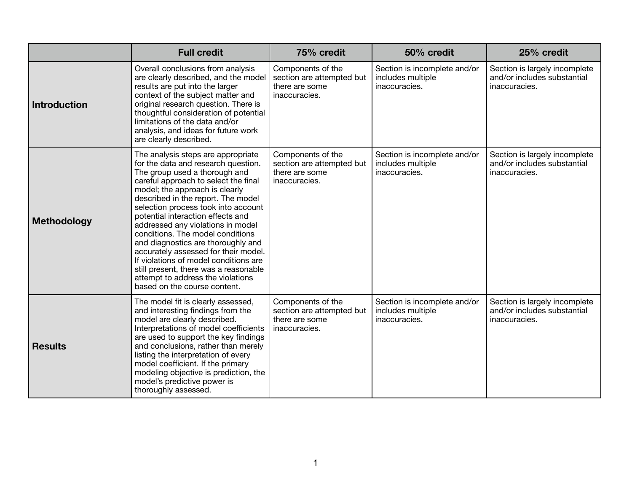|                     | <b>Full credit</b>                                                                                                                                                                                                                                                                                                                                                                                                                                                                                                                                                                                                   | 75% credit                                                                        | 50% credit                                                         | 25% credit                                                                    |
|---------------------|----------------------------------------------------------------------------------------------------------------------------------------------------------------------------------------------------------------------------------------------------------------------------------------------------------------------------------------------------------------------------------------------------------------------------------------------------------------------------------------------------------------------------------------------------------------------------------------------------------------------|-----------------------------------------------------------------------------------|--------------------------------------------------------------------|-------------------------------------------------------------------------------|
| <b>Introduction</b> | Overall conclusions from analysis<br>are clearly described, and the model<br>results are put into the larger<br>context of the subject matter and<br>original research question. There is<br>thoughtful consideration of potential<br>limitations of the data and/or<br>analysis, and ideas for future work<br>are clearly described.                                                                                                                                                                                                                                                                                | Components of the<br>section are attempted but<br>there are some<br>inaccuracies. | Section is incomplete and/or<br>includes multiple<br>inaccuracies. | Section is largely incomplete<br>and/or includes substantial<br>inaccuracies. |
| <b>Methodology</b>  | The analysis steps are appropriate<br>for the data and research question.<br>The group used a thorough and<br>careful approach to select the final<br>model; the approach is clearly<br>described in the report. The model<br>selection process took into account<br>potential interaction effects and<br>addressed any violations in model<br>conditions. The model conditions<br>and diagnostics are thoroughly and<br>accurately assessed for their model.<br>If violations of model conditions are<br>still present, there was a reasonable<br>attempt to address the violations<br>based on the course content. | Components of the<br>section are attempted but<br>there are some<br>inaccuracies. | Section is incomplete and/or<br>includes multiple<br>inaccuracies. | Section is largely incomplete<br>and/or includes substantial<br>inaccuracies. |
| <b>Results</b>      | The model fit is clearly assessed,<br>and interesting findings from the<br>model are clearly described.<br>Interpretations of model coefficients<br>are used to support the key findings<br>and conclusions, rather than merely<br>listing the interpretation of every<br>model coefficient. If the primary<br>modeling objective is prediction, the<br>model's predictive power is<br>thoroughly assessed.                                                                                                                                                                                                          | Components of the<br>section are attempted but<br>there are some<br>inaccuracies. | Section is incomplete and/or<br>includes multiple<br>inaccuracies. | Section is largely incomplete<br>and/or includes substantial<br>inaccuracies. |